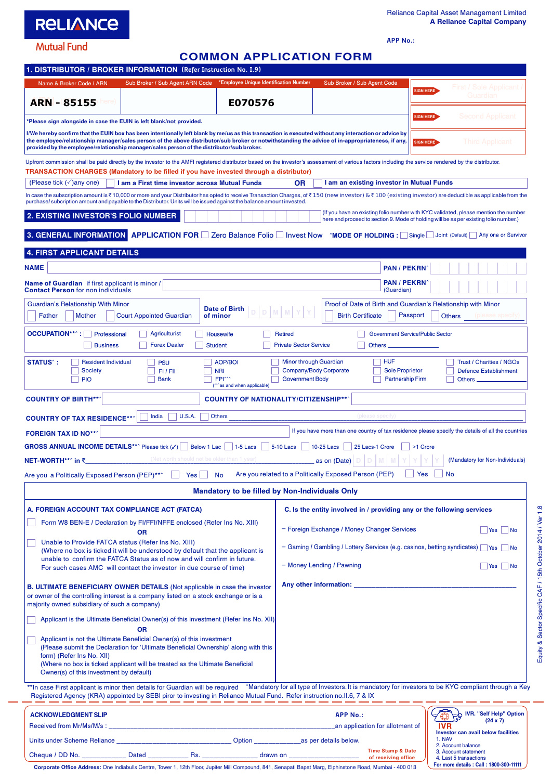## **RELIANCE**

**APP No.:**

**Mutual Fund** 

## **COMMON APPLICATION FORM**

| 1. DISTRIBUTOR / BROKER INFORMATION (Refer Instruction No. I.9)                                                                                                                                                                                                                                                                                                                                                                       |                                                                        |                                                                                  |                                                                                                  |                                                                        |                                                                 |                  |                                                                                                    |  |  |
|---------------------------------------------------------------------------------------------------------------------------------------------------------------------------------------------------------------------------------------------------------------------------------------------------------------------------------------------------------------------------------------------------------------------------------------|------------------------------------------------------------------------|----------------------------------------------------------------------------------|--------------------------------------------------------------------------------------------------|------------------------------------------------------------------------|-----------------------------------------------------------------|------------------|----------------------------------------------------------------------------------------------------|--|--|
| Name & Broker Code / ARN                                                                                                                                                                                                                                                                                                                                                                                                              | Sub Broker / Sub Agent ARN Code *Employee Unique Identification Number |                                                                                  |                                                                                                  | Sub Broker / Sub Agent Code                                            |                                                                 | <b>SIGN HERE</b> | First / Sole Applicant /                                                                           |  |  |
| <b>ARN-85155</b><br>lere I                                                                                                                                                                                                                                                                                                                                                                                                            |                                                                        | E070576                                                                          |                                                                                                  |                                                                        |                                                                 |                  | Guardian                                                                                           |  |  |
| Please sign alongside in case the EUIN is left blank/not provided.                                                                                                                                                                                                                                                                                                                                                                    |                                                                        |                                                                                  |                                                                                                  |                                                                        |                                                                 | SIGN HERE        | Second Applicant                                                                                   |  |  |
| I/We hereby confirm that the EUIN box has been intentionally left blank by me/us as this transaction is executed without any interaction or advice by<br>the employee/relationship manager/sales person of the above distributor/sub broker or notwithstanding the advice of in-appropriateness, if any,<br>Third Applicant<br>SIGN HERE<br>provided by the employee/relationship manager/sales person of the distributor/sub broker. |                                                                        |                                                                                  |                                                                                                  |                                                                        |                                                                 |                  |                                                                                                    |  |  |
| Upfront commission shall be paid directly by the investor to the AMFI registered distributor based on the investor's assessment of various factors including the service rendered by the distributor.<br>TRANSACTION CHARGES (Mandatory to be filled if you have invested through a distributor)                                                                                                                                      |                                                                        |                                                                                  |                                                                                                  |                                                                        |                                                                 |                  |                                                                                                    |  |  |
| (Please tick $(\checkmark)$ any one)                                                                                                                                                                                                                                                                                                                                                                                                  | I am a First time investor across Mutual Funds                         |                                                                                  | 0R                                                                                               | I am an existing investor in Mutual Funds                              |                                                                 |                  |                                                                                                    |  |  |
| In case the subscription amount is ₹10,000 or more and your Distributor has opted to receive Transaction Charges, of ₹150 (new investor) & ₹100 (existing investor) are deductible as applicable from the<br>purchase/ subcription amount and payable to the Distributor. Units will be issued against the balance amount invested.                                                                                                   |                                                                        |                                                                                  |                                                                                                  |                                                                        |                                                                 |                  |                                                                                                    |  |  |
| (If you have an existing folio number with KYC validated, please mention the number<br>2. EXISTING INVESTOR'S FOLIO NUMBER<br>here and proceed to section 9. Mode of holding will be as per existing folio number.)                                                                                                                                                                                                                   |                                                                        |                                                                                  |                                                                                                  |                                                                        |                                                                 |                  |                                                                                                    |  |  |
| 3. GENERAL INFORMATION APPLICATION FOR 2 Zero Balance Folio Invest Now MODE OF HOLDING : Single I Joint (Default) Any one or Survivor                                                                                                                                                                                                                                                                                                 |                                                                        |                                                                                  |                                                                                                  |                                                                        |                                                                 |                  |                                                                                                    |  |  |
| 4. FIRST APPLICANT DETAILS                                                                                                                                                                                                                                                                                                                                                                                                            |                                                                        |                                                                                  |                                                                                                  |                                                                        |                                                                 |                  |                                                                                                    |  |  |
| <b>NAME</b>                                                                                                                                                                                                                                                                                                                                                                                                                           |                                                                        |                                                                                  |                                                                                                  |                                                                        | <b>PAN / PEKRN</b>                                              |                  |                                                                                                    |  |  |
| Name of Guardian if first applicant is minor /<br><b>Contact Person for non individuals</b>                                                                                                                                                                                                                                                                                                                                           |                                                                        |                                                                                  |                                                                                                  |                                                                        | <b>PAN / PEKRN</b><br>(Guardian)                                |                  |                                                                                                    |  |  |
| Guardian's Relationship With Minor<br>Father<br>Mother                                                                                                                                                                                                                                                                                                                                                                                | <b>Court Appointed Guardian</b>                                        | <b>Date of Birth</b><br>of minor                                                 |                                                                                                  | <b>Birth Certificate</b>                                               |                                                                 | Passport         | Proof of Date of Birth and Guardian's Relationship with Minor<br>(please specify)<br><b>Others</b> |  |  |
| <b>OCCUPATION**^:</b><br>Professional                                                                                                                                                                                                                                                                                                                                                                                                 | <b>Agriculturist</b>                                                   | <b>Housewife</b>                                                                 | <b>Retired</b>                                                                                   |                                                                        | <b>Government Service/Public Sector</b>                         |                  |                                                                                                    |  |  |
| <b>Business</b>                                                                                                                                                                                                                                                                                                                                                                                                                       | <b>Forex Dealer</b><br><b>Student</b>                                  |                                                                                  | <b>Private Sector Service</b>                                                                    |                                                                        | Others _                                                        |                  |                                                                                                    |  |  |
| <b>STATUS<sup>^</sup>:</b><br><b>Resident Individual</b><br><b>Society</b><br><b>PIO</b>                                                                                                                                                                                                                                                                                                                                              | <b>PSU</b><br>$FI$ / $FI$<br><b>Bank</b>                               | <b>AOP/BOI</b><br><b>NRI</b><br>FPI <sup>^^</sup><br>(^^^as and when applicable) | <b>Government Body</b>                                                                           | Minor through Guardian<br>Company/Body Corporate                       | <b>HUF</b><br><b>Sole Proprietor</b><br><b>Partnership Firm</b> |                  | <b>Trust / Charities / NGOs</b><br><b>Defence Establishment</b><br>Others _                        |  |  |
| <b>COUNTRY OF BIRTH**</b>                                                                                                                                                                                                                                                                                                                                                                                                             |                                                                        | <b>COUNTRY OF NATIONALITY/CITIZENSHIP**/</b>                                     |                                                                                                  |                                                                        |                                                                 |                  |                                                                                                    |  |  |
| <b>COUNTRY OF TAX RESIDENCE**^</b>                                                                                                                                                                                                                                                                                                                                                                                                    | India<br><b>U.S.A.</b>                                                 | <b>Others</b>                                                                    |                                                                                                  |                                                                        | (please specify)                                                |                  |                                                                                                    |  |  |
| <b>FOREIGN TAX ID NO***</b>                                                                                                                                                                                                                                                                                                                                                                                                           |                                                                        |                                                                                  |                                                                                                  |                                                                        |                                                                 |                  | If you have more than one country of tax residence please specify the details of all the countries |  |  |
| <b>GROSS ANNUAL INCOME DETAILS**</b> Please tick (/)                                                                                                                                                                                                                                                                                                                                                                                  |                                                                        | Below 1 Lac     1-5 Lacs                                                         | 5-10 Lacs 10-25 Lacs                                                                             |                                                                        | 25 Lacs-1 Crore                                                 | >1 Crore         |                                                                                                    |  |  |
| NET-WORTH**^ in ₹                                                                                                                                                                                                                                                                                                                                                                                                                     | (Net worth should not be older than 1 year)                            |                                                                                  |                                                                                                  | as on (Date)                                                           |                                                                 |                  | (Mandatory for Non-Individuals)                                                                    |  |  |
| Are you a Politically Exposed Person (PEP)**^                                                                                                                                                                                                                                                                                                                                                                                         | Yes $\lfloor$                                                          | No                                                                               |                                                                                                  | Are you related to a Politically Exposed Person (PEP)                  |                                                                 | Yes<br>No        |                                                                                                    |  |  |
| Mandatory to be filled by Non-Individuals Only                                                                                                                                                                                                                                                                                                                                                                                        |                                                                        |                                                                                  |                                                                                                  |                                                                        |                                                                 |                  |                                                                                                    |  |  |
| A. FOREIGN ACCOUNT TAX COMPLIANCE ACT (FATCA)                                                                                                                                                                                                                                                                                                                                                                                         |                                                                        |                                                                                  |                                                                                                  | C. Is the entity involved in / providing any or the following services |                                                                 |                  |                                                                                                    |  |  |
| Form W8 BEN-E / Declaration by FI/FFI/NFFE enclosed (Refer Ins No. XIII)<br><b>OR</b>                                                                                                                                                                                                                                                                                                                                                 |                                                                        |                                                                                  | - Foreign Exchange / Money Changer Services<br>Yes<br>∣ No                                       |                                                                        |                                                                 |                  |                                                                                                    |  |  |
| Unable to Provide FATCA status (Refer Ins No. XIII)<br>(Where no box is ticked it will be understood by default that the applicant is                                                                                                                                                                                                                                                                                                 |                                                                        |                                                                                  | $-$ Gaming / Gambling / Lottery Services (e.g. casinos, betting syndicates) $\Box$ Yes [<br>∣ No |                                                                        |                                                                 |                  |                                                                                                    |  |  |
| unable to confirm the FATCA Status as of now and will confirm in future.<br>For such cases AMC will contact the investor in due course of time)                                                                                                                                                                                                                                                                                       |                                                                        |                                                                                  | - Money Lending / Pawning<br>$ Yes $ No                                                          |                                                                        |                                                                 |                  |                                                                                                    |  |  |
| <b>B. ULTIMATE BENEFICIARY OWNER DETAILS</b> (Not applicable in case the investor<br>or owner of the controlling interest is a company listed on a stock exchange or is a                                                                                                                                                                                                                                                             |                                                                        |                                                                                  | Any other information: <b>Any other information:</b>                                             |                                                                        |                                                                 |                  |                                                                                                    |  |  |
| majority owned subsidiary of such a company)                                                                                                                                                                                                                                                                                                                                                                                          |                                                                        |                                                                                  |                                                                                                  |                                                                        |                                                                 |                  |                                                                                                    |  |  |
| Applicant is the Ultimate Beneficial Owner(s) of this investment (Refer Ins No. XII)                                                                                                                                                                                                                                                                                                                                                  |                                                                        |                                                                                  |                                                                                                  |                                                                        |                                                                 |                  |                                                                                                    |  |  |
| <b>OR</b><br>Applicant is not the Ultimate Beneficial Owner(s) of this investment                                                                                                                                                                                                                                                                                                                                                     |                                                                        |                                                                                  |                                                                                                  |                                                                        |                                                                 |                  |                                                                                                    |  |  |
| (Please submit the Declaration for 'Ultimate Beneficial Ownership' along with this<br>form) (Refer Ins No. XII)                                                                                                                                                                                                                                                                                                                       |                                                                        |                                                                                  |                                                                                                  |                                                                        |                                                                 |                  |                                                                                                    |  |  |
| (Where no box is ticked applicant will be treated as the Ultimate Beneficial<br>Owner(s) of this investment by default)                                                                                                                                                                                                                                                                                                               |                                                                        |                                                                                  |                                                                                                  |                                                                        |                                                                 |                  |                                                                                                    |  |  |
| **In case First applicant is minor then details for Guardian will be required ^Mandatory for all type of Investors. It is mandatory for investors to be KYC compliant through a Key<br>Registered Agency (KRA) appointed by SEBI piror to investing in Reliance Mutual Fund. Refer instruction no.II.6, 7 & IX                                                                                                                        |                                                                        |                                                                                  |                                                                                                  |                                                                        |                                                                 |                  |                                                                                                    |  |  |
| <b>ACKNOWLEDGMENT SLIP</b>                                                                                                                                                                                                                                                                                                                                                                                                            |                                                                        |                                                                                  |                                                                                                  | <b>APP No.:</b>                                                        |                                                                 |                  | <b>IVR. "Self Help" Option</b>                                                                     |  |  |
|                                                                                                                                                                                                                                                                                                                                                                                                                                       |                                                                        |                                                                                  |                                                                                                  |                                                                        | an application for allotment of                                 | IVR              | $(24 \times 7)$<br>Investor can avail below facilities                                             |  |  |
|                                                                                                                                                                                                                                                                                                                                                                                                                                       |                                                                        |                                                                                  |                                                                                                  |                                                                        | <b>Time Stamp &amp; Date</b>                                    | 1. NAV           | 2. Account balance                                                                                 |  |  |
| Office Address: One Indiabulle Contro Tower 1, 12th Floor, Juniter Mill Compound, 841, Sepangti Bapat Marg, Elphinetene Boad, Mumbai, 400,013                                                                                                                                                                                                                                                                                         |                                                                        |                                                                                  |                                                                                                  |                                                                        | of receiving office                                             |                  | 3. Account statement<br>4. Last 5 transactions<br>For more details : Call : 1800-300-11111         |  |  |

**Corporate Office Address:** One Indiabulls Centre, Tower 1, 12th Floor, Jupiter Mill Compound, 841, Senapati Bapat Marg, Elphinstone Road, Mumbai - 400 013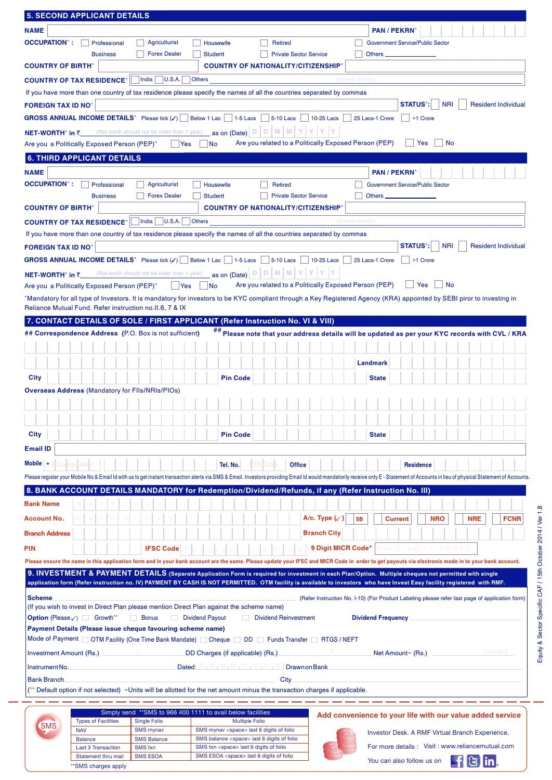|                                                                                                | <b>5. SECOND APPLICANT DETAILS</b>                      |                                                                                                                                                                                                                                                                                                                                  |                                                                                                         |                                                       |                                       |                           |                                                 |                                                                                                                                                                                                                                |
|------------------------------------------------------------------------------------------------|---------------------------------------------------------|----------------------------------------------------------------------------------------------------------------------------------------------------------------------------------------------------------------------------------------------------------------------------------------------------------------------------------|---------------------------------------------------------------------------------------------------------|-------------------------------------------------------|---------------------------------------|---------------------------|-------------------------------------------------|--------------------------------------------------------------------------------------------------------------------------------------------------------------------------------------------------------------------------------|
| <b>NAME</b>                                                                                    |                                                         |                                                                                                                                                                                                                                                                                                                                  |                                                                                                         |                                                       |                                       | <b>PAN / PEKRN</b>        |                                                 |                                                                                                                                                                                                                                |
| <b>OCCUPATION</b> <sup>2</sup> :                                                               | Professional                                            | <b>Agriculturist</b>                                                                                                                                                                                                                                                                                                             | Housewife                                                                                               | <b>Retired</b>                                        |                                       |                           | <b>Government Service/Public Sector</b>         |                                                                                                                                                                                                                                |
|                                                                                                | <b>Business</b>                                         | <b>Forex Dealer</b>                                                                                                                                                                                                                                                                                                              | <b>Student</b>                                                                                          | <b>Private Sector Service</b>                         |                                       | Others _                  |                                                 |                                                                                                                                                                                                                                |
| <b>COUNTRY OF BIRTH</b>                                                                        |                                                         |                                                                                                                                                                                                                                                                                                                                  |                                                                                                         | <b>COUNTRY OF NATIONALITY/CITIZENSHIP</b>             |                                       |                           |                                                 |                                                                                                                                                                                                                                |
|                                                                                                | <b>COUNTRY OF TAX RESIDENCE^</b>                        | India<br> U.S.A.                                                                                                                                                                                                                                                                                                                 | <b>Others</b>                                                                                           |                                                       | (please specity                       |                           |                                                 |                                                                                                                                                                                                                                |
|                                                                                                |                                                         | If you have more than one country of tax residence please specify the names of all the countries separated by commas                                                                                                                                                                                                             |                                                                                                         |                                                       |                                       |                           |                                                 |                                                                                                                                                                                                                                |
| <b>FOREIGN TAX ID NO</b>                                                                       |                                                         |                                                                                                                                                                                                                                                                                                                                  |                                                                                                         |                                                       |                                       |                           | <b>STATUS<sup>*</sup></b> :<br><b>NRI</b>       | <b>Resident Individual</b>                                                                                                                                                                                                     |
|                                                                                                |                                                         | <b>GROSS ANNUAL INCOME DETAILS</b> <sup>^</sup> Please tick $(\checkmark)$   Below 1 Lac   1-5 Lacs                                                                                                                                                                                                                              |                                                                                                         | <b>5-10 Lacs</b>                                      | 10-25 Lacs                            | 25 Lacs-1 Crore           | $\vert$ >1 Crore                                |                                                                                                                                                                                                                                |
|                                                                                                |                                                         | (Net worth should not be older than 1 year) as on (Date) $\boxed{D}$ $\boxed{D}$                                                                                                                                                                                                                                                 |                                                                                                         | M M                                                   | Y                                     |                           |                                                 |                                                                                                                                                                                                                                |
| <b>NET-WORTH</b> ^ in ₹                                                                        | Are you a Politically Exposed Person (PEP) <sup>^</sup> | Yes                                                                                                                                                                                                                                                                                                                              | No                                                                                                      | Are you related to a Politically Exposed Person (PEP) |                                       |                           | Yes<br><b>No</b>                                |                                                                                                                                                                                                                                |
|                                                                                                |                                                         |                                                                                                                                                                                                                                                                                                                                  |                                                                                                         |                                                       |                                       |                           |                                                 |                                                                                                                                                                                                                                |
|                                                                                                | <b>6. THIRD APPLICANT DETAILS</b>                       |                                                                                                                                                                                                                                                                                                                                  |                                                                                                         |                                                       |                                       |                           |                                                 |                                                                                                                                                                                                                                |
| <b>NAME</b>                                                                                    |                                                         |                                                                                                                                                                                                                                                                                                                                  |                                                                                                         |                                                       |                                       | <b>PAN / PEKRN</b>        |                                                 |                                                                                                                                                                                                                                |
| <b>OCCUPATION</b> ^:                                                                           | Professional                                            | Agriculturist                                                                                                                                                                                                                                                                                                                    | Housewife                                                                                               | <b>Retired</b>                                        |                                       |                           | <b>Government Service/Public Sector</b>         |                                                                                                                                                                                                                                |
|                                                                                                | <b>Business</b>                                         | <b>Forex Dealer</b>                                                                                                                                                                                                                                                                                                              | <b>Student</b>                                                                                          | <b>Private Sector Service</b>                         |                                       | <b>Others</b>             |                                                 |                                                                                                                                                                                                                                |
| <b>COUNTRY OF BIRTH^</b>                                                                       |                                                         |                                                                                                                                                                                                                                                                                                                                  |                                                                                                         | <b>COUNTRY OF NATIONALITY/CITIZENSHIP</b>             |                                       |                           |                                                 |                                                                                                                                                                                                                                |
|                                                                                                | <b>COUNTRY OF TAX RESIDENCE^</b>                        | India<br> U.S.A.                                                                                                                                                                                                                                                                                                                 | <b>Others</b>                                                                                           |                                                       | (please specify)                      |                           |                                                 |                                                                                                                                                                                                                                |
|                                                                                                |                                                         | If you have more than one country of tax residence please specify the names of all the countries separated by commas                                                                                                                                                                                                             |                                                                                                         |                                                       |                                       |                           |                                                 |                                                                                                                                                                                                                                |
| <b>FOREIGN TAX ID NO^</b>                                                                      |                                                         |                                                                                                                                                                                                                                                                                                                                  |                                                                                                         |                                                       |                                       |                           | <b>NRI</b><br><b>STATUS</b>                     | <b>Resident Individual</b>                                                                                                                                                                                                     |
|                                                                                                |                                                         | <b>GROSS ANNUAL INCOME DETAILS</b> <sup>^</sup> Please tick $(\checkmark)$   Below 1 Lac   1-5 Lacs                                                                                                                                                                                                                              |                                                                                                         | <b>5-10 Lacs</b>                                      | <b>10-25 Lacs</b>                     | 25 Lacs-1 Crore           | >1 Crore                                        |                                                                                                                                                                                                                                |
| <b>NET-WORTH</b> ^ in ₹                                                                        |                                                         | (Net worth should not be older than 1 year)                                                                                                                                                                                                                                                                                      | as on (Date) $\boxed{\circ}$ $\boxed{\circ}$                                                            | M M                                                   |                                       |                           |                                                 |                                                                                                                                                                                                                                |
|                                                                                                | Are you a Politically Exposed Person (PEP) <sup>^</sup> | <b>Yes</b>                                                                                                                                                                                                                                                                                                                       | <b>No</b>                                                                                               | Are you related to a Politically Exposed Person (PEP) |                                       |                           | Yes<br>∣ No                                     |                                                                                                                                                                                                                                |
|                                                                                                |                                                         | ^Mandatory for all type of Investors. It is mandatory for investors to be KYC compliant through a Key Registered Agency (KRA) appointed by SEBI piror to investing in                                                                                                                                                            |                                                                                                         |                                                       |                                       |                           |                                                 |                                                                                                                                                                                                                                |
|                                                                                                |                                                         | Reliance Mutual Fund. Refer instruction no.II.6, 7 & IX                                                                                                                                                                                                                                                                          |                                                                                                         |                                                       |                                       |                           |                                                 |                                                                                                                                                                                                                                |
|                                                                                                |                                                         | 7. CONTACT DETAILS OF SOLE / FIRST APPLICANT (Refer Instruction No. VI & VIII)                                                                                                                                                                                                                                                   |                                                                                                         |                                                       |                                       |                           |                                                 |                                                                                                                                                                                                                                |
|                                                                                                |                                                         | ## Correspondence Address (P.O. Box is not sufficient)                                                                                                                                                                                                                                                                           |                                                                                                         |                                                       |                                       |                           |                                                 | ## Please note that your address details will be updated as per your KYC records with CVL / KRA                                                                                                                                |
|                                                                                                |                                                         |                                                                                                                                                                                                                                                                                                                                  |                                                                                                         |                                                       |                                       |                           |                                                 |                                                                                                                                                                                                                                |
|                                                                                                |                                                         |                                                                                                                                                                                                                                                                                                                                  |                                                                                                         |                                                       |                                       | Landmark                  |                                                 |                                                                                                                                                                                                                                |
|                                                                                                |                                                         |                                                                                                                                                                                                                                                                                                                                  |                                                                                                         |                                                       |                                       |                           |                                                 |                                                                                                                                                                                                                                |
| City                                                                                           |                                                         |                                                                                                                                                                                                                                                                                                                                  | <b>Pin Code</b>                                                                                         |                                                       |                                       | <b>State</b>              |                                                 |                                                                                                                                                                                                                                |
|                                                                                                | <b>Overseas Address (Mandatory for Flis/NRIs/PIOs)</b>  |                                                                                                                                                                                                                                                                                                                                  |                                                                                                         |                                                       |                                       |                           |                                                 |                                                                                                                                                                                                                                |
|                                                                                                |                                                         |                                                                                                                                                                                                                                                                                                                                  |                                                                                                         |                                                       |                                       |                           |                                                 |                                                                                                                                                                                                                                |
|                                                                                                |                                                         |                                                                                                                                                                                                                                                                                                                                  |                                                                                                         |                                                       |                                       |                           |                                                 |                                                                                                                                                                                                                                |
| City                                                                                           |                                                         |                                                                                                                                                                                                                                                                                                                                  | <b>Pin Code</b>                                                                                         |                                                       |                                       | <b>State</b>              |                                                 |                                                                                                                                                                                                                                |
| <b>Email ID</b>                                                                                |                                                         |                                                                                                                                                                                                                                                                                                                                  |                                                                                                         |                                                       |                                       |                           |                                                 |                                                                                                                                                                                                                                |
| Mobile $ +$                                                                                    |                                                         |                                                                                                                                                                                                                                                                                                                                  |                                                                                                         |                                                       |                                       |                           |                                                 |                                                                                                                                                                                                                                |
|                                                                                                | Country Code                                            |                                                                                                                                                                                                                                                                                                                                  | Tel. No.                                                                                                | \$TD Code<br><b>Office</b>                            |                                       |                           | <b>Residence</b>                                |                                                                                                                                                                                                                                |
|                                                                                                |                                                         |                                                                                                                                                                                                                                                                                                                                  |                                                                                                         |                                                       |                                       |                           |                                                 | Please register your Mobile No & Email Id with us to get instant transaction alerts via SMS & Email. Investors providing Email Id would mandatorily receive only E - Statement of Accounts in lieu of physical Statement of Ac |
|                                                                                                |                                                         | 8. BANK ACCOUNT DETAILS MANDATORY for Redemption/Dividend/Refunds, if any (Refer Instruction No. III)                                                                                                                                                                                                                            |                                                                                                         |                                                       |                                       |                           |                                                 |                                                                                                                                                                                                                                |
| <b>Bank Name</b>                                                                               |                                                         |                                                                                                                                                                                                                                                                                                                                  |                                                                                                         |                                                       |                                       |                           |                                                 |                                                                                                                                                                                                                                |
| <b>Account No.</b>                                                                             |                                                         |                                                                                                                                                                                                                                                                                                                                  |                                                                                                         |                                                       | A/c. Type $(\checkmark)$<br><b>SB</b> |                           | <b>Current</b><br><b>NRO</b>                    | <b>NRE</b><br><b>FCNR</b>                                                                                                                                                                                                      |
| <b>Branch Address</b>                                                                          |                                                         |                                                                                                                                                                                                                                                                                                                                  |                                                                                                         |                                                       | <b>Branch City</b>                    |                           |                                                 |                                                                                                                                                                                                                                |
| <b>PIN</b>                                                                                     |                                                         | <b>IFSC Code</b>                                                                                                                                                                                                                                                                                                                 |                                                                                                         |                                                       | 9 Digit MICR Code*                    |                           |                                                 |                                                                                                                                                                                                                                |
|                                                                                                |                                                         |                                                                                                                                                                                                                                                                                                                                  |                                                                                                         |                                                       |                                       |                           |                                                 |                                                                                                                                                                                                                                |
|                                                                                                |                                                         |                                                                                                                                                                                                                                                                                                                                  |                                                                                                         |                                                       |                                       |                           |                                                 | Please ensure the name in this application form and in your bank account are the same. Please update your IFSC and MICR Code in order to get payouts via electronic mode in to your bank account.                              |
|                                                                                                |                                                         | 9. INVESTMENT & PAYMENT DETAILS (Separate Application Form is required for investment in each Plan/Option. Multiple cheques not permitted with single<br>application form (Refer instruction no. IV) PAYMENT BY CASH IS NOT PERMITTED. OTM facility is available to investors who have Invest Easy facility registered with RMF. |                                                                                                         |                                                       |                                       |                           |                                                 |                                                                                                                                                                                                                                |
|                                                                                                |                                                         |                                                                                                                                                                                                                                                                                                                                  |                                                                                                         |                                                       |                                       |                           |                                                 |                                                                                                                                                                                                                                |
| <b>Scheme</b>                                                                                  |                                                         | (If you wish to invest in Direct Plan please mention Direct Plan against the scheme name)                                                                                                                                                                                                                                        |                                                                                                         |                                                       |                                       |                           |                                                 | (Refer Instruction No. I-10) (For Product Labeling please refer last page of application form)                                                                                                                                 |
|                                                                                                | <b>Option</b> (Please √) Growth <sup>^^</sup>           | <b>Bonus</b>                                                                                                                                                                                                                                                                                                                     | Dividend Payout                                                                                         | Dividend Reinvestment                                 |                                       | <b>Dividend Frequency</b> |                                                 |                                                                                                                                                                                                                                |
|                                                                                                |                                                         | Payment Details (Please issue cheque favouring scheme name)                                                                                                                                                                                                                                                                      |                                                                                                         |                                                       |                                       |                           |                                                 |                                                                                                                                                                                                                                |
|                                                                                                |                                                         | Mode of Payment COTM Facility (One Time Bank Mandate) Cheque CODD Funds Transfer RTGS / NEFT                                                                                                                                                                                                                                     |                                                                                                         |                                                       |                                       |                           |                                                 |                                                                                                                                                                                                                                |
| I minus II<br>DD Charges (if applicable) (Rs.)<br>Net Amount~ (Rs.)<br>Investment Amount (Rs.) |                                                         |                                                                                                                                                                                                                                                                                                                                  |                                                                                                         |                                                       |                                       |                           |                                                 |                                                                                                                                                                                                                                |
| Dated $D_1 D_1 M_1 M_2 Y_1 Y_2 Y_1 Y_2$ Drawn on Bank<br>Instrument No.                        |                                                         |                                                                                                                                                                                                                                                                                                                                  |                                                                                                         |                                                       |                                       |                           |                                                 |                                                                                                                                                                                                                                |
| <b>Bank Branch</b>                                                                             |                                                         |                                                                                                                                                                                                                                                                                                                                  |                                                                                                         | City                                                  |                                       |                           |                                                 |                                                                                                                                                                                                                                |
|                                                                                                |                                                         | Default option if not selected) ~Units will be allotted for the net amount minus the transaction charges if applicable.                                                                                                                                                                                                          |                                                                                                         |                                                       |                                       |                           |                                                 |                                                                                                                                                                                                                                |
|                                                                                                |                                                         |                                                                                                                                                                                                                                                                                                                                  |                                                                                                         |                                                       |                                       |                           |                                                 |                                                                                                                                                                                                                                |
|                                                                                                |                                                         | Simply send ** SMS to 966 400 1111 to avail below facilities                                                                                                                                                                                                                                                                     |                                                                                                         |                                                       |                                       |                           |                                                 | Add convenience to your life with our value added service                                                                                                                                                                      |
| <b>SMS</b>                                                                                     | <b>Types of Facilities</b>                              | <b>Single Folio</b>                                                                                                                                                                                                                                                                                                              | <b>Multiple Folio</b>                                                                                   |                                                       |                                       |                           |                                                 |                                                                                                                                                                                                                                |
|                                                                                                | <b>NAV</b><br><b>Balance</b>                            | <b>SMS</b> mynav<br><b>SMS Balance</b>                                                                                                                                                                                                                                                                                           | SMS mynav <space> last 6 digits of folio<br/>SMS balance <space> last 6 digits of folio</space></space> |                                                       |                                       |                           | Investor Desk. A RMF Virtual Branch Experience. |                                                                                                                                                                                                                                |
|                                                                                                | <b>Last 3 Transaction</b>                               | <b>SMS</b> txn                                                                                                                                                                                                                                                                                                                   | SMS txn <space> last 6 digits of folio</space>                                                          |                                                       |                                       |                           |                                                 | For more details : Visit : www.reliancemutual.com                                                                                                                                                                              |
|                                                                                                | Statement thru mail                                     | <b>SMS ESOA</b>                                                                                                                                                                                                                                                                                                                  | SMS ESOA <space> last 6 digits of folio</space>                                                         |                                                       |                                       |                           | You can also follow us on                       | FIGIn                                                                                                                                                                                                                          |
|                                                                                                | **SMS charges apply                                     |                                                                                                                                                                                                                                                                                                                                  |                                                                                                         |                                                       |                                       |                           |                                                 |                                                                                                                                                                                                                                |

Equity & Sector Specific CAF / 15th October 2014 / Ver 1.8 Equity & Sector Specific CAF / 15th October 2014 / Ver 1.8

 $\overline{\phantom{0}}$